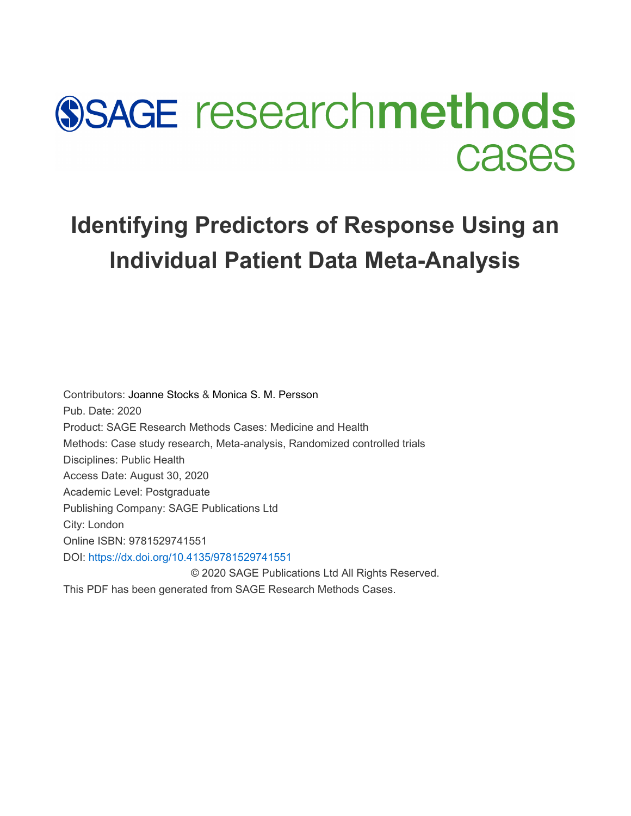# **SSAGE researchmethods Cases**

# **Identifying Predictors of Response Using an Individual Patient Data Meta-Analysis**

Contributors: [Joanne Stocks](javascript:void(0);) & [Monica S. M. Persson](javascript:void(0);)  Pub. Date: 2020 Product: SAGE Research Methods Cases: Medicine and Health Methods: Case study research, Meta-analysis, Randomized controlled trials Disciplines: Public Health Access Date: August 30, 2020 Academic Level: Postgraduate Publishing Company: SAGE Publications Ltd City: London Online ISBN: 9781529741551 DOI: <https://dx.doi.org/10.4135/9781529741551> © 2020 SAGE Publications Ltd All Rights Reserved.

This PDF has been generated from SAGE Research Methods Cases.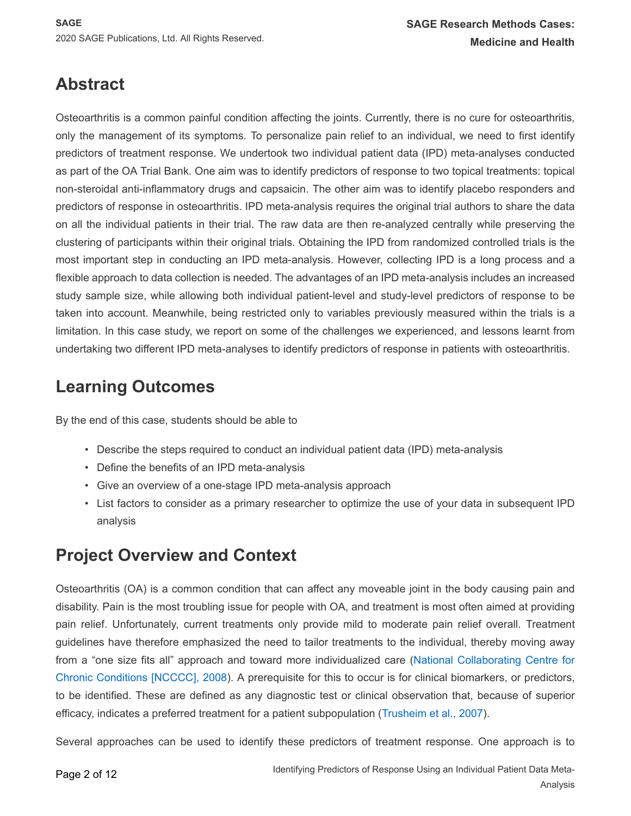# **Abstract**

Osteoarthritis is a common painful condition affecting the joints. Currently, there is no cure for osteoarthritis, only the management of its symptoms. To personalize pain relief to an individual, we need to first identify predictors of treatment response. We undertook two individual patient data (IPD) meta-analyses conducted as part of the OA Trial Bank. One aim was to identify predictors of response to two topical treatments: topical non-steroidal anti-inflammatory drugs and capsaicin. The other aim was to identify placebo responders and predictors of response in osteoarthritis. IPD meta-analysis requires the original trial authors to share the data on all the individual patients in their trial. The raw data are then re-analyzed centrally while preserving the clustering of participants within their original trials. Obtaining the IPD from randomized controlled trials is the most important step in conducting an IPD meta-analysis. However, collecting IPD is a long process and a flexible approach to data collection is needed. The advantages of an IPD meta-analysis includes an increased study sample size, while allowing both individual patient-level and study-level predictors of response to be taken into account. Meanwhile, being restricted only to variables previously measured within the trials is a limitation. In this case study, we report on some of the challenges we experienced, and lessons learnt from undertaking two different IPD meta-analyses to identify predictors of response in patients with osteoarthritis.

# **Learning Outcomes**

By the end of this case, students should be able to

- Describe the steps required to conduct an individual patient data (IPD) meta-analysis
- Define the benefits of an IPD meta-analysis
- Give an overview of a one-stage IPD meta-analysis approach
- List factors to consider as a primary researcher to optimize the use of your data in subsequent IPD analysis

## **Project Overview and Context**

Osteoarthritis (OA) is a common condition that can affect any moveable joint in the body causing pain and disability. Pain is the most troubling issue for people with OA, and treatment is most often aimed at providing pain relief. Unfortunately, current treatments only provide mild to moderate pain relief overall. Treatment guidelines have therefore emphasized the need to tailor treatments to the individual, thereby moving away from a "one size fits all" approach and toward more individualized care ([National Collaborating Centre for](#page-10-0)  [Chronic Conditions \[NCCCC\], 2008](#page-10-0)). A prerequisite for this to occur is for clinical biomarkers, or predictors, to be identified. These are defined as any diagnostic test or clinical observation that, because of superior efficacy, indicates a preferred treatment for a patient subpopulation ([Trusheim et al., 2007](#page-11-0)).

Several approaches can be used to identify these predictors of treatment response. One approach is to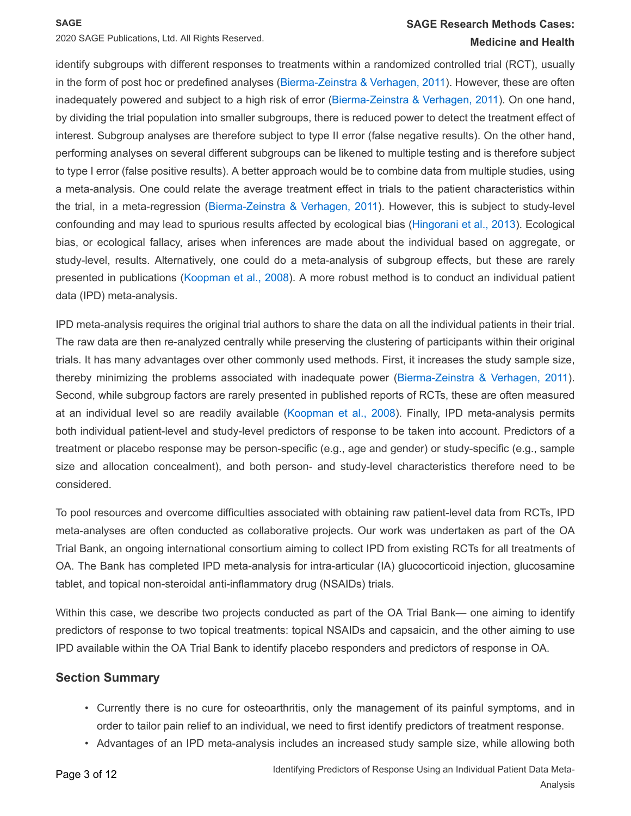2020 SAGE Publications, Ltd. All Rights Reserved.

### **SAGE Research Methods Cases: Medicine and Health**

identify subgroups with different responses to treatments within a randomized controlled trial (RCT), usually in the form of post hoc or predefined analyses ([Bierma-Zeinstra & Verhagen, 2011](#page-9-0)). However, these are often inadequately powered and subject to a high risk of error ([Bierma-Zeinstra & Verhagen, 2011](#page-9-0)). On one hand, by dividing the trial population into smaller subgroups, there is reduced power to detect the treatment effect of interest. Subgroup analyses are therefore subject to type II error (false negative results). On the other hand, performing analyses on several different subgroups can be likened to multiple testing and is therefore subject to type I error (false positive results). A better approach would be to combine data from multiple studies, using a meta-analysis. One could relate the average treatment effect in trials to the patient characteristics within the trial, in a meta-regression ([Bierma-Zeinstra & Verhagen, 2011](#page-9-0)). However, this is subject to study-level confounding and may lead to spurious results affected by ecological bias ([Hingorani et al., 2013](#page-10-1)). Ecological bias, or ecological fallacy, arises when inferences are made about the individual based on aggregate, or study-level, results. Alternatively, one could do a meta-analysis of subgroup effects, but these are rarely presented in publications ([Koopman et al., 2008](#page-10-2)). A more robust method is to conduct an individual patient data (IPD) meta-analysis.

IPD meta-analysis requires the original trial authors to share the data on all the individual patients in their trial. The raw data are then re-analyzed centrally while preserving the clustering of participants within their original trials. It has many advantages over other commonly used methods. First, it increases the study sample size, thereby minimizing the problems associated with inadequate power ([Bierma-Zeinstra & Verhagen, 2011](#page-9-0)). Second, while subgroup factors are rarely presented in published reports of RCTs, these are often measured at an individual level so are readily available ([Koopman et al., 2008](#page-10-2)). Finally, IPD meta-analysis permits both individual patient-level and study-level predictors of response to be taken into account. Predictors of a treatment or placebo response may be person-specific (e.g., age and gender) or study-specific (e.g., sample size and allocation concealment), and both person- and study-level characteristics therefore need to be considered.

To pool resources and overcome difficulties associated with obtaining raw patient-level data from RCTs, IPD meta-analyses are often conducted as collaborative projects. Our work was undertaken as part of the OA Trial Bank, an ongoing international consortium aiming to collect IPD from existing RCTs for all treatments of OA. The Bank has completed IPD meta-analysis for intra-articular (IA) glucocorticoid injection, glucosamine tablet, and topical non-steroidal anti-inflammatory drug (NSAIDs) trials.

Within this case, we describe two projects conducted as part of the OA Trial Bank— one aiming to identify predictors of response to two topical treatments: topical NSAIDs and capsaicin, and the other aiming to use IPD available within the OA Trial Bank to identify placebo responders and predictors of response in OA.

### **Section Summary**

- Currently there is no cure for osteoarthritis, only the management of its painful symptoms, and in order to tailor pain relief to an individual, we need to first identify predictors of treatment response.
- Advantages of an IPD meta-analysis includes an increased study sample size, while allowing both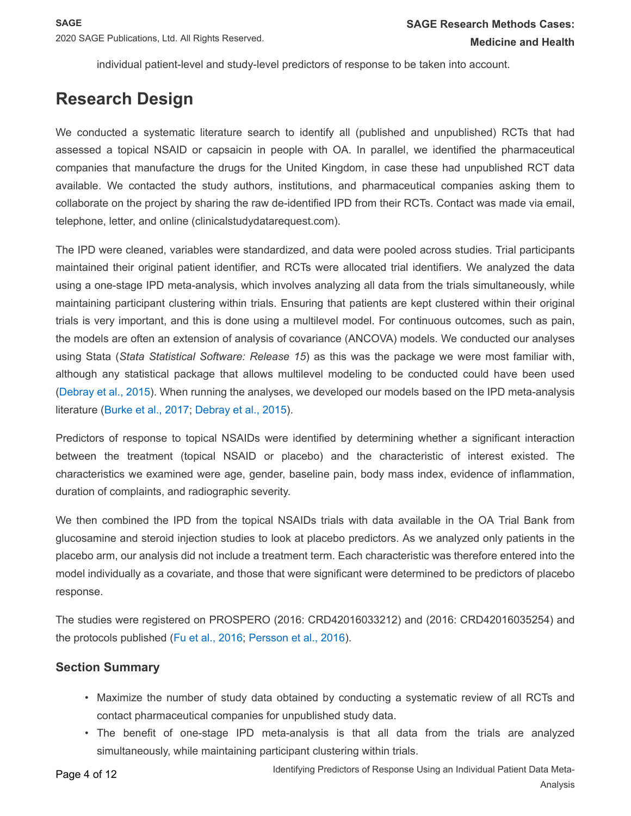individual patient-level and study-level predictors of response to be taken into account.

# **Research Design**

We conducted a systematic literature search to identify all (published and unpublished) RCTs that had assessed a topical NSAID or capsaicin in people with OA. In parallel, we identified the pharmaceutical companies that manufacture the drugs for the United Kingdom, in case these had unpublished RCT data available. We contacted the study authors, institutions, and pharmaceutical companies asking them to collaborate on the project by sharing the raw de-identified IPD from their RCTs. Contact was made via email, telephone, letter, and online (clinicalstudydatarequest.com).

The IPD were cleaned, variables were standardized, and data were pooled across studies. Trial participants maintained their original patient identifier, and RCTs were allocated trial identifiers. We analyzed the data using a one-stage IPD meta-analysis, which involves analyzing all data from the trials simultaneously, while maintaining participant clustering within trials. Ensuring that patients are kept clustered within their original trials is very important, and this is done using a multilevel model. For continuous outcomes, such as pain, the models are often an extension of analysis of covariance (ANCOVA) models. We conducted our analyses using Stata (*Stata Statistical Software: Release 15*) as this was the package we were most familiar with, although any statistical package that allows multilevel modeling to be conducted could have been used ([Debray et al., 2015](#page-9-1)). When running the analyses, we developed our models based on the IPD meta-analysis literature ([Burke et al., 2017](#page-9-2); [Debray et al., 2015](#page-9-1)).

Predictors of response to topical NSAIDs were identified by determining whether a significant interaction between the treatment (topical NSAID or placebo) and the characteristic of interest existed. The characteristics we examined were age, gender, baseline pain, body mass index, evidence of inflammation, duration of complaints, and radiographic severity.

We then combined the IPD from the topical NSAIDs trials with data available in the OA Trial Bank from glucosamine and steroid injection studies to look at placebo predictors. As we analyzed only patients in the placebo arm, our analysis did not include a treatment term. Each characteristic was therefore entered into the model individually as a covariate, and those that were significant were determined to be predictors of placebo response.

The studies were registered on PROSPERO (2016: CRD42016033212) and (2016: CRD42016035254) and the protocols published ([Fu et al., 2016](#page-10-3); [Persson et al., 2016](#page-10-3)).

### **Section Summary**

- Maximize the number of study data obtained by conducting a systematic review of all RCTs and contact pharmaceutical companies for unpublished study data.
- The benefit of one-stage IPD meta-analysis is that all data from the trials are analyzed simultaneously, while maintaining participant clustering within trials.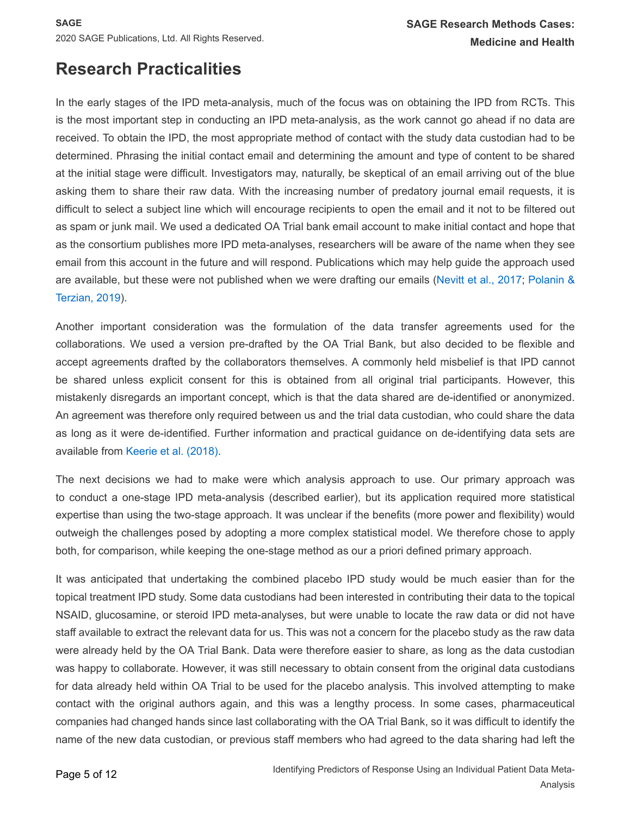# **Research Practicalities**

In the early stages of the IPD meta-analysis, much of the focus was on obtaining the IPD from RCTs. This is the most important step in conducting an IPD meta-analysis, as the work cannot go ahead if no data are received. To obtain the IPD, the most appropriate method of contact with the study data custodian had to be determined. Phrasing the initial contact email and determining the amount and type of content to be shared at the initial stage were difficult. Investigators may, naturally, be skeptical of an email arriving out of the blue asking them to share their raw data. With the increasing number of predatory journal email requests, it is difficult to select a subject line which will encourage recipients to open the email and it not to be filtered out as spam or junk mail. We used a dedicated OA Trial bank email account to make initial contact and hope that as the consortium publishes more IPD meta-analyses, researchers will be aware of the name when they see email from this account in the future and will respond. Publications which may help guide the approach used are available, but these were not published when we were drafting our emails ([Nevitt et al., 2017](#page-11-1); [Polanin &](#page-11-2)  [Terzian, 2019](#page-11-2)).

Another important consideration was the formulation of the data transfer agreements used for the collaborations. We used a version pre-drafted by the OA Trial Bank, but also decided to be flexible and accept agreements drafted by the collaborators themselves. A commonly held misbelief is that IPD cannot be shared unless explicit consent for this is obtained from all original trial participants. However, this mistakenly disregards an important concept, which is that the data shared are de-identified or anonymized. An agreement was therefore only required between us and the trial data custodian, who could share the data as long as it were de-identified. Further information and practical guidance on de-identifying data sets are available from [Keerie et al. \(2018\)](#page-10-4).

The next decisions we had to make were which analysis approach to use. Our primary approach was to conduct a one-stage IPD meta-analysis (described earlier), but its application required more statistical expertise than using the two-stage approach. It was unclear if the benefits (more power and flexibility) would outweigh the challenges posed by adopting a more complex statistical model. We therefore chose to apply both, for comparison, while keeping the one-stage method as our a priori defined primary approach.

It was anticipated that undertaking the combined placebo IPD study would be much easier than for the topical treatment IPD study. Some data custodians had been interested in contributing their data to the topical NSAID, glucosamine, or steroid IPD meta-analyses, but were unable to locate the raw data or did not have staff available to extract the relevant data for us. This was not a concern for the placebo study as the raw data were already held by the OA Trial Bank. Data were therefore easier to share, as long as the data custodian was happy to collaborate. However, it was still necessary to obtain consent from the original data custodians for data already held within OA Trial to be used for the placebo analysis. This involved attempting to make contact with the original authors again, and this was a lengthy process. In some cases, pharmaceutical companies had changed hands since last collaborating with the OA Trial Bank, so it was difficult to identify the name of the new data custodian, or previous staff members who had agreed to the data sharing had left the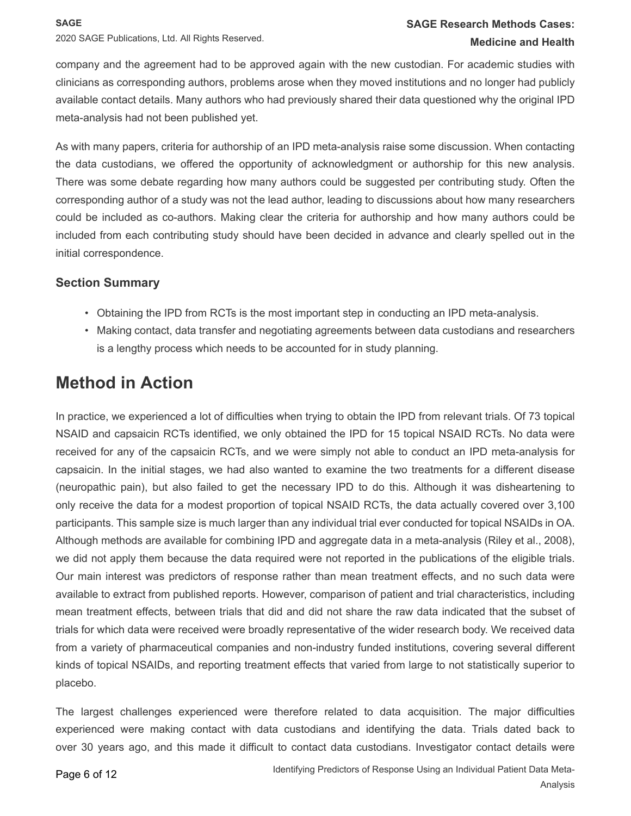2020 SAGE Publications, Ltd. All Rights Reserved.

### **SAGE Research Methods Cases: Medicine and Health**

company and the agreement had to be approved again with the new custodian. For academic studies with clinicians as corresponding authors, problems arose when they moved institutions and no longer had publicly available contact details. Many authors who had previously shared their data questioned why the original IPD meta-analysis had not been published yet.

As with many papers, criteria for authorship of an IPD meta-analysis raise some discussion. When contacting the data custodians, we offered the opportunity of acknowledgment or authorship for this new analysis. There was some debate regarding how many authors could be suggested per contributing study. Often the corresponding author of a study was not the lead author, leading to discussions about how many researchers could be included as co-authors. Making clear the criteria for authorship and how many authors could be included from each contributing study should have been decided in advance and clearly spelled out in the initial correspondence.

### **Section Summary**

- Obtaining the IPD from RCTs is the most important step in conducting an IPD meta-analysis.
- Making contact, data transfer and negotiating agreements between data custodians and researchers is a lengthy process which needs to be accounted for in study planning.

## **Method in Action**

In practice, we experienced a lot of difficulties when trying to obtain the IPD from relevant trials. Of 73 topical NSAID and capsaicin RCTs identified, we only obtained the IPD for 15 topical NSAID RCTs. No data were received for any of the capsaicin RCTs, and we were simply not able to conduct an IPD meta-analysis for capsaicin. In the initial stages, we had also wanted to examine the two treatments for a different disease (neuropathic pain), but also failed to get the necessary IPD to do this. Although it was disheartening to only receive the data for a modest proportion of topical NSAID RCTs, the data actually covered over 3,100 participants. This sample size is much larger than any individual trial ever conducted for topical NSAIDs in OA. Although methods are available for combining IPD and aggregate data in a meta-analysis (Riley et al., 2008), we did not apply them because the data required were not reported in the publications of the eligible trials. Our main interest was predictors of response rather than mean treatment effects, and no such data were available to extract from published reports. However, comparison of patient and trial characteristics, including mean treatment effects, between trials that did and did not share the raw data indicated that the subset of trials for which data were received were broadly representative of the wider research body. We received data from a variety of pharmaceutical companies and non-industry funded institutions, covering several different kinds of topical NSAIDs, and reporting treatment effects that varied from large to not statistically superior to placebo.

The largest challenges experienced were therefore related to data acquisition. The major difficulties experienced were making contact with data custodians and identifying the data. Trials dated back to over 30 years ago, and this made it difficult to contact data custodians. Investigator contact details were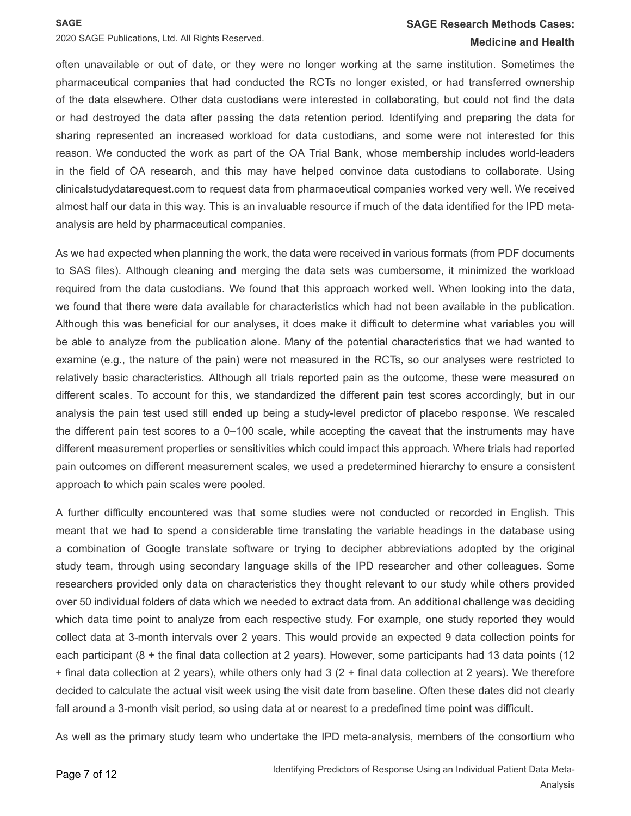### **SAGE Research Methods Cases: Medicine and Health**

2020 SAGE Publications, Ltd. All Rights Reserved.

often unavailable or out of date, or they were no longer working at the same institution. Sometimes the pharmaceutical companies that had conducted the RCTs no longer existed, or had transferred ownership of the data elsewhere. Other data custodians were interested in collaborating, but could not find the data or had destroyed the data after passing the data retention period. Identifying and preparing the data for sharing represented an increased workload for data custodians, and some were not interested for this reason. We conducted the work as part of the OA Trial Bank, whose membership includes world-leaders in the field of OA research, and this may have helped convince data custodians to collaborate. Using clinicalstudydatarequest.com to request data from pharmaceutical companies worked very well. We received almost half our data in this way. This is an invaluable resource if much of the data identified for the IPD metaanalysis are held by pharmaceutical companies.

As we had expected when planning the work, the data were received in various formats (from PDF documents to SAS files). Although cleaning and merging the data sets was cumbersome, it minimized the workload required from the data custodians. We found that this approach worked well. When looking into the data, we found that there were data available for characteristics which had not been available in the publication. Although this was beneficial for our analyses, it does make it difficult to determine what variables you will be able to analyze from the publication alone. Many of the potential characteristics that we had wanted to examine (e.g., the nature of the pain) were not measured in the RCTs, so our analyses were restricted to relatively basic characteristics. Although all trials reported pain as the outcome, these were measured on different scales. To account for this, we standardized the different pain test scores accordingly, but in our analysis the pain test used still ended up being a study-level predictor of placebo response. We rescaled the different pain test scores to a 0–100 scale, while accepting the caveat that the instruments may have different measurement properties or sensitivities which could impact this approach. Where trials had reported pain outcomes on different measurement scales, we used a predetermined hierarchy to ensure a consistent approach to which pain scales were pooled.

A further difficulty encountered was that some studies were not conducted or recorded in English. This meant that we had to spend a considerable time translating the variable headings in the database using a combination of Google translate software or trying to decipher abbreviations adopted by the original study team, through using secondary language skills of the IPD researcher and other colleagues. Some researchers provided only data on characteristics they thought relevant to our study while others provided over 50 individual folders of data which we needed to extract data from. An additional challenge was deciding which data time point to analyze from each respective study. For example, one study reported they would collect data at 3-month intervals over 2 years. This would provide an expected 9 data collection points for each participant (8 + the final data collection at 2 years). However, some participants had 13 data points (12 + final data collection at 2 years), while others only had 3 (2 + final data collection at 2 years). We therefore decided to calculate the actual visit week using the visit date from baseline. Often these dates did not clearly fall around a 3-month visit period, so using data at or nearest to a predefined time point was difficult.

As well as the primary study team who undertake the IPD meta-analysis, members of the consortium who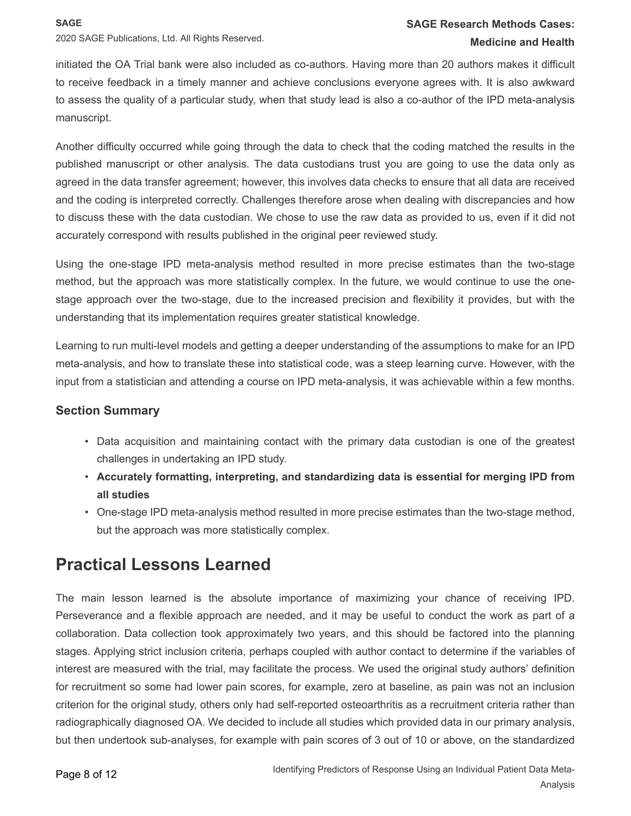2020 SAGE Publications, Ltd. All Rights Reserved.

initiated the OA Trial bank were also included as co-authors. Having more than 20 authors makes it difficult to receive feedback in a timely manner and achieve conclusions everyone agrees with. It is also awkward to assess the quality of a particular study, when that study lead is also a co-author of the IPD meta-analysis manuscript.

Another difficulty occurred while going through the data to check that the coding matched the results in the published manuscript or other analysis. The data custodians trust you are going to use the data only as agreed in the data transfer agreement; however, this involves data checks to ensure that all data are received and the coding is interpreted correctly. Challenges therefore arose when dealing with discrepancies and how to discuss these with the data custodian. We chose to use the raw data as provided to us, even if it did not accurately correspond with results published in the original peer reviewed study.

Using the one-stage IPD meta-analysis method resulted in more precise estimates than the two-stage method, but the approach was more statistically complex. In the future, we would continue to use the onestage approach over the two-stage, due to the increased precision and flexibility it provides, but with the understanding that its implementation requires greater statistical knowledge.

Learning to run multi-level models and getting a deeper understanding of the assumptions to make for an IPD meta-analysis, and how to translate these into statistical code, was a steep learning curve. However, with the input from a statistician and attending a course on IPD meta-analysis, it was achievable within a few months.

### **Section Summary**

- Data acquisition and maintaining contact with the primary data custodian is one of the greatest challenges in undertaking an IPD study.
- **Accurately formatting, interpreting, and standardizing data is essential for merging IPD from all studies**
- One-stage IPD meta-analysis method resulted in more precise estimates than the two-stage method, but the approach was more statistically complex.

## **Practical Lessons Learned**

The main lesson learned is the absolute importance of maximizing your chance of receiving IPD. Perseverance and a flexible approach are needed, and it may be useful to conduct the work as part of a collaboration. Data collection took approximately two years, and this should be factored into the planning stages. Applying strict inclusion criteria, perhaps coupled with author contact to determine if the variables of interest are measured with the trial, may facilitate the process. We used the original study authors' definition for recruitment so some had lower pain scores, for example, zero at baseline, as pain was not an inclusion criterion for the original study, others only had self-reported osteoarthritis as a recruitment criteria rather than radiographically diagnosed OA. We decided to include all studies which provided data in our primary analysis, but then undertook sub-analyses, for example with pain scores of 3 out of 10 or above, on the standardized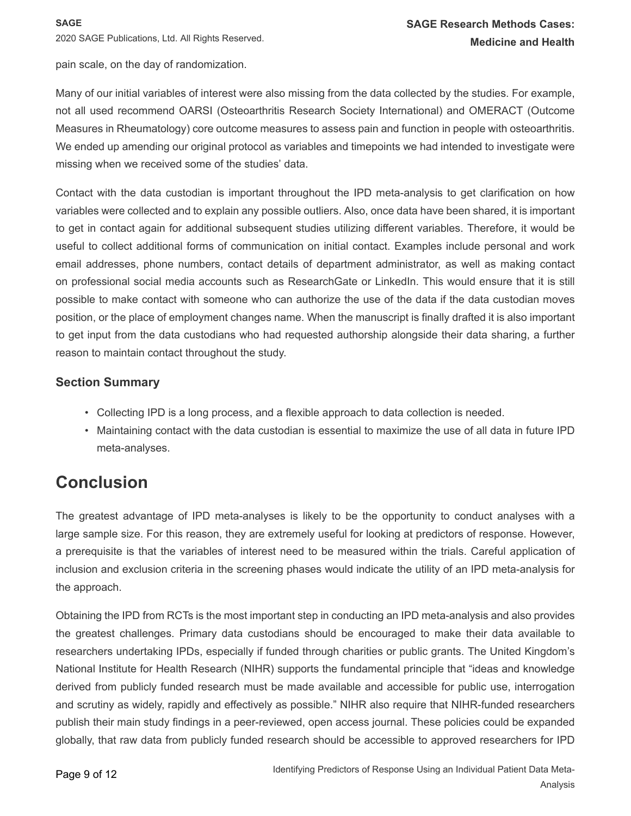2020 SAGE Publications, Ltd. All Rights Reserved.

pain scale, on the day of randomization.

Many of our initial variables of interest were also missing from the data collected by the studies. For example, not all used recommend OARSI (Osteoarthritis Research Society International) and OMERACT (Outcome Measures in Rheumatology) core outcome measures to assess pain and function in people with osteoarthritis. We ended up amending our original protocol as variables and timepoints we had intended to investigate were missing when we received some of the studies' data.

Contact with the data custodian is important throughout the IPD meta-analysis to get clarification on how variables were collected and to explain any possible outliers. Also, once data have been shared, it is important to get in contact again for additional subsequent studies utilizing different variables. Therefore, it would be useful to collect additional forms of communication on initial contact. Examples include personal and work email addresses, phone numbers, contact details of department administrator, as well as making contact on professional social media accounts such as ResearchGate or LinkedIn. This would ensure that it is still possible to make contact with someone who can authorize the use of the data if the data custodian moves position, or the place of employment changes name. When the manuscript is finally drafted it is also important to get input from the data custodians who had requested authorship alongside their data sharing, a further reason to maintain contact throughout the study.

### **Section Summary**

- Collecting IPD is a long process, and a flexible approach to data collection is needed.
- Maintaining contact with the data custodian is essential to maximize the use of all data in future IPD meta-analyses.

### **Conclusion**

The greatest advantage of IPD meta-analyses is likely to be the opportunity to conduct analyses with a large sample size. For this reason, they are extremely useful for looking at predictors of response. However, a prerequisite is that the variables of interest need to be measured within the trials. Careful application of inclusion and exclusion criteria in the screening phases would indicate the utility of an IPD meta-analysis for the approach.

Obtaining the IPD from RCTs is the most important step in conducting an IPD meta-analysis and also provides the greatest challenges. Primary data custodians should be encouraged to make their data available to researchers undertaking IPDs, especially if funded through charities or public grants. The United Kingdom's National Institute for Health Research (NIHR) supports the fundamental principle that "ideas and knowledge derived from publicly funded research must be made available and accessible for public use, interrogation and scrutiny as widely, rapidly and effectively as possible." NIHR also require that NIHR-funded researchers publish their main study findings in a peer-reviewed, open access journal. These policies could be expanded globally, that raw data from publicly funded research should be accessible to approved researchers for IPD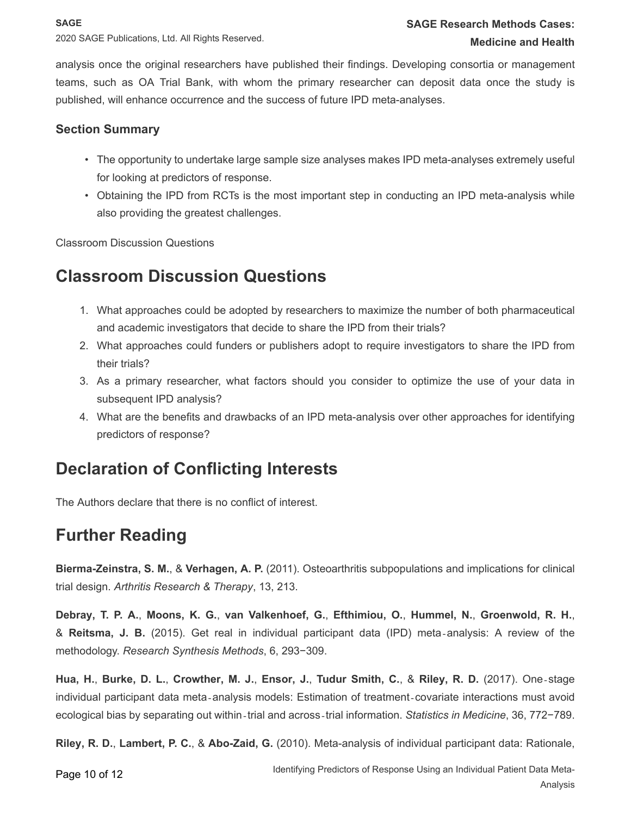analysis once the original researchers have published their findings. Developing consortia or management teams, such as OA Trial Bank, with whom the primary researcher can deposit data once the study is published, will enhance occurrence and the success of future IPD meta-analyses.

### **Section Summary**

- The opportunity to undertake large sample size analyses makes IPD meta-analyses extremely useful for looking at predictors of response.
- Obtaining the IPD from RCTs is the most important step in conducting an IPD meta-analysis while also providing the greatest challenges.

Classroom Discussion Questions

# **Classroom Discussion Questions**

- 1. What approaches could be adopted by researchers to maximize the number of both pharmaceutical and academic investigators that decide to share the IPD from their trials?
- 2. What approaches could funders or publishers adopt to require investigators to share the IPD from their trials?
- 3. As a primary researcher, what factors should you consider to optimize the use of your data in subsequent IPD analysis?
- 4. What are the benefits and drawbacks of an IPD meta-analysis over other approaches for identifying predictors of response?

# **Declaration of Conflicting Interests**

The Authors declare that there is no conflict of interest.

# **Further Reading**

<span id="page-9-0"></span>**Bierma-Zeinstra, S. M.**, & **Verhagen, A. P.** (2011). Osteoarthritis subpopulations and implications for clinical trial design. *Arthritis Research & Therapy*, 13, 213.

<span id="page-9-1"></span>**Debray, T. P. A.**, **Moons, K. G.**, **van Valkenhoef, G.**, **Efthimiou, O.**, **Hummel, N.**, **Groenwold, R. H.**, & **Reitsma, J. B.** (2015). Get real in individual participant data (IPD) meta‐analysis: A review of the methodology. *Research Synthesis Methods*, 6, 293−309.

<span id="page-9-2"></span>Hua, H., Burke, D. L., Crowther, M. J., Ensor, J., Tudur Smith, C., & Riley, R. D. (2017). One-stage individual participant data meta‐analysis models: Estimation of treatment‐covariate interactions must avoid ecological bias by separating out within‐trial and across‐trial information. *Statistics in Medicine*, 36, 772−789.

**Riley, R. D.**, **Lambert, P. C.**, & **Abo-Zaid, G.** (2010). Meta-analysis of individual participant data: Rationale,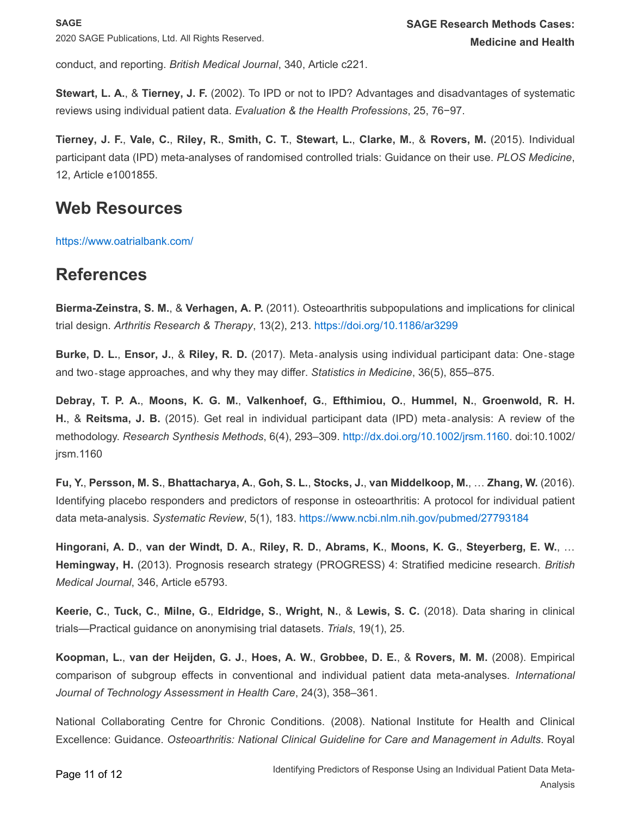conduct, and reporting. *British Medical Journal*, 340, Article c221.

**Stewart, L. A.**, & **Tierney, J. F.** (2002). To IPD or not to IPD? Advantages and disadvantages of systematic reviews using individual patient data. *Evaluation & the Health Professions*, 25, 76−97.

Tierney, J. F., Vale, C., Riley, R., Smith, C. T., Stewart, L., Clarke, M., & Rovers, M. (2015). Individual participant data (IPD) meta-analyses of randomised controlled trials: Guidance on their use. *PLOS Medicine*, 12, Article e1001855.

### **Web Resources**

<https://www.oatrialbank.com/>

### **References**

**Bierma-Zeinstra, S. M.**, & **Verhagen, A. P.** (2011). Osteoarthritis subpopulations and implications for clinical trial design. *Arthritis Research & Therapy*, 13(2), 213. <https://doi.org/10.1186/ar3299>

**Burke, D. L.**, **Ensor, J.**, & **Riley, R. D.** (2017). Meta‐analysis using individual participant data: One‐stage and two‐stage approaches, and why they may differ. *Statistics in Medicine*, 36(5), 855–875.

**Debray, T. P. A.**, **Moons, K. G. M.**, **Valkenhoef, G.**, **Efthimiou, O.**, **Hummel, N.**, **Groenwold, R. H. H.**, & **Reitsma, J. B.** (2015). Get real in individual participant data (IPD) meta‐analysis: A review of the methodology. *Research Synthesis Methods*, 6(4), 293–309. <http://dx.doi.org/10.1002/jrsm.1160>. doi:10.1002/ jrsm.1160

<span id="page-10-3"></span>Fu, Y., Persson, M. S., Bhattacharya, A., Goh, S. L., Stocks, J., van Middelkoop, M., ... Zhang, W. (2016). Identifying placebo responders and predictors of response in osteoarthritis: A protocol for individual patient data meta-analysis. *Systematic Review*, 5(1), 183. <https://www.ncbi.nlm.nih.gov/pubmed/27793184>

<span id="page-10-1"></span>Hingorani, A. D., van der Windt, D. A., Riley, R. D., Abrams, K., Moons, K. G., Steyerberg, E. W., ... **Hemingway, H.** (2013). Prognosis research strategy (PROGRESS) 4: Stratified medicine research. *British Medical Journal*, 346, Article e5793.

<span id="page-10-4"></span>Keerie, C., Tuck, C., Milne, G., Eldridge, S., Wright, N., & Lewis, S. C. (2018). Data sharing in clinical trials—Practical guidance on anonymising trial datasets. *Trials*, 19(1), 25.

<span id="page-10-2"></span>**Koopman, L.**, **van der Heijden, G. J.**, **Hoes, A. W.**, **Grobbee, D. E.**, & **Rovers, M. M.** (2008). Empirical comparison of subgroup effects in conventional and individual patient data meta-analyses. *International Journal of Technology Assessment in Health Care*, 24(3), 358–361.

<span id="page-10-0"></span>National Collaborating Centre for Chronic Conditions. (2008). National Institute for Health and Clinical Excellence: Guidance. *Osteoarthritis: National Clinical Guideline for Care and Management in Adults*. Royal